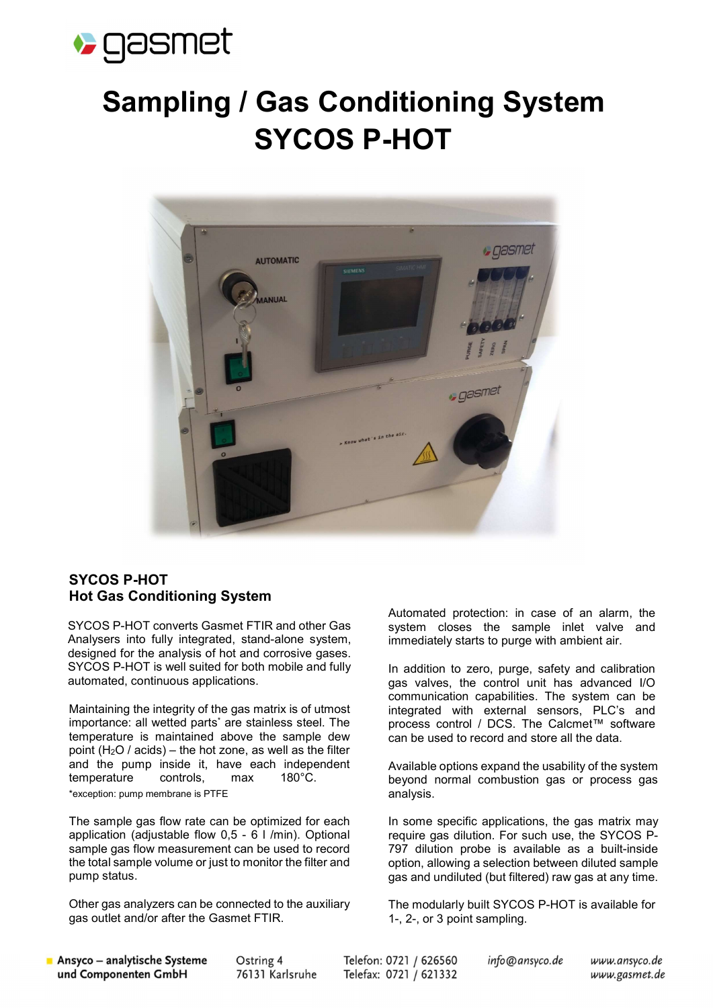

## Sampling / Gas Conditioning System SYCOS P-HOT



## SYCOS P-HOT Hot Gas Conditioning System

SYCOS P-HOT converts Gasmet FTIR and other Gas Analysers into fully integrated, stand-alone system, designed for the analysis of hot and corrosive gases. SYCOS P-HOT is well suited for both mobile and fully automated, continuous applications.

Maintaining the integrity of the gas matrix is of utmost importance: all wetted parts\* are stainless steel. The temperature is maintained above the sample dew point (H<sub>2</sub>O / acids) – the hot zone, as well as the filter and the pump inside it, have each independent temperature controls, max 180°C. \*exception: pump membrane is PTFE

The sample gas flow rate can be optimized for each application (adjustable flow 0,5 - 6 l /min). Optional sample gas flow measurement can be used to record the total sample volume or just to monitor the filter and pump status.

Other gas analyzers can be connected to the auxiliary gas outlet and/or after the Gasmet FTIR.

Automated protection: in case of an alarm, the system closes the sample inlet valve and immediately starts to purge with ambient air.

In addition to zero, purge, safety and calibration gas valves, the control unit has advanced I/O communication capabilities. The system can be integrated with external sensors, PLC's and process control / DCS. The Calcmet™ software can be used to record and store all the data.

Available options expand the usability of the system beyond normal combustion gas or process gas analysis.

In some specific applications, the gas matrix may require gas dilution. For such use, the SYCOS P-797 dilution probe is available as a built-inside option, allowing a selection between diluted sample gas and undiluted (but filtered) raw gas at any time.

The modularly built SYCOS P-HOT is available for 1-, 2-, or 3 point sampling.

Ansyco - analytische Systeme und Componenten GmbH

Ostring 4 76131 Karlsruhe Telefon: 0721 / 626560 Telefax: 0721 / 621332 info@ansyco.de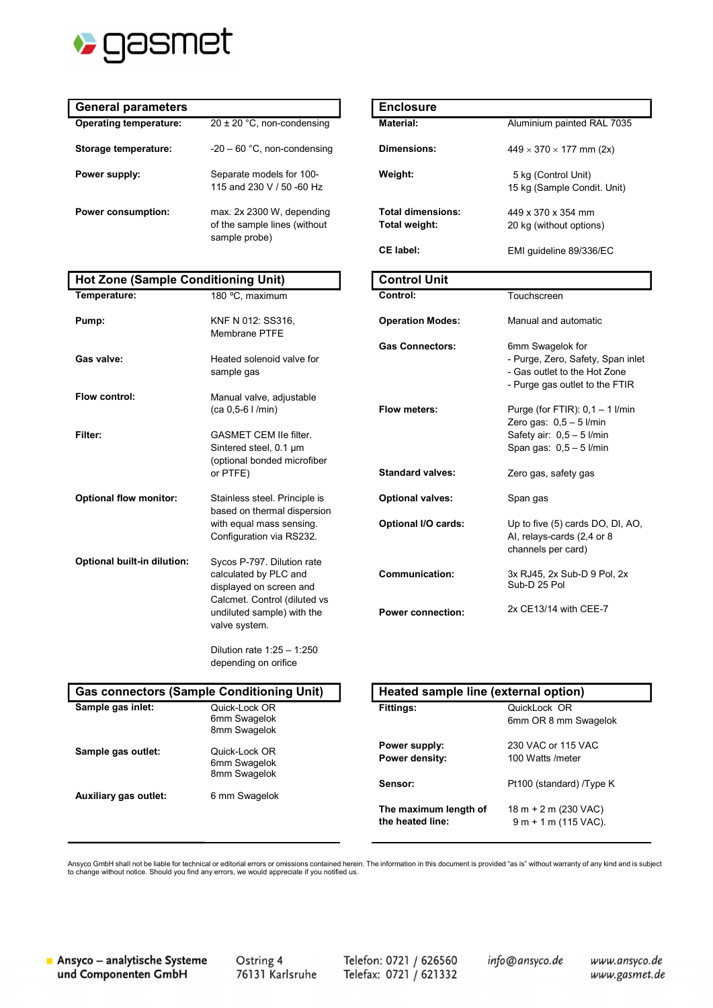

 $\overline{\phantom{a}}$ 

| <b>General parameters</b>     |                                                                            | <b>Enclosure</b>                      |
|-------------------------------|----------------------------------------------------------------------------|---------------------------------------|
| <b>Operating temperature:</b> | $20 \pm 20$ °C, non-condensing                                             | Material:                             |
| Storage temperature:          | $-20 - 60$ °C, non-condensing                                              | Dimensions:                           |
| Power supply:                 | Separate models for 100-<br>115 and 230 V / 50 -60 Hz                      | Weight:                               |
| <b>Power consumption:</b>     | max. 2x 2300 W, depending<br>of the sample lines (without<br>sample probe) | <b>Total dimensi</b><br>Total weight: |
|                               |                                                                            | .                                     |

## Hot Zone (Sample Conditioning Unit)

| Temperature:                  | 180 °C, maximum                                                                                                                                               |  |  |  |
|-------------------------------|---------------------------------------------------------------------------------------------------------------------------------------------------------------|--|--|--|
| Pump:                         | KNF N 012: SS316,<br><b>Membrane PTFE</b>                                                                                                                     |  |  |  |
| Gas valve:                    | Heated solenoid valve for<br>sample gas                                                                                                                       |  |  |  |
| <b>Flow control:</b>          | Manual valve, adjustable<br>(ca 0,5-6 l /min)                                                                                                                 |  |  |  |
| Filter:                       | <b>GASMET CEM Ile filter.</b><br>Sintered steel, 0.1 um<br>(optional bonded microfiber<br>or PTFE)                                                            |  |  |  |
| <b>Optional flow monitor:</b> | Stainless steel. Principle is<br>based on thermal dispersion<br>with equal mass sensing.<br>Configuration via RS232.                                          |  |  |  |
| Optional built-in dilution:   | Sycos P-797. Dilution rate<br>calculated by PLC and<br>displayed on screen and<br>Calcmet. Control (diluted vs<br>undiluted sample) with the<br>valve system. |  |  |  |
|                               | Dilution rate 1:25 - 1:250<br>depending on orifice                                                                                                            |  |  |  |
|                               | <b>Gas connectors (Sample Conditioning Unit)</b>                                                                                                              |  |  |  |
| Sample gas inlet:             | Quick-Lock OR<br>6mm Swagelok<br>8mm Swagelok                                                                                                                 |  |  |  |

| <b>Enclosure</b>                          |                                                                                                                         |  |
|-------------------------------------------|-------------------------------------------------------------------------------------------------------------------------|--|
| Material:                                 | Aluminium painted RAL 7035                                                                                              |  |
| Dimensions:                               | $449 \times 370 \times 177$ mm (2x)                                                                                     |  |
| Weight:                                   | 5 kg (Control Unit)<br>15 kg (Sample Condit. Unit)                                                                      |  |
| <b>Total dimensions:</b><br>Total weight: | 449 x 370 x 354 mm<br>20 kg (without options)                                                                           |  |
| CE label:                                 | EMI guideline 89/336/EC                                                                                                 |  |
| <b>Control Unit</b>                       |                                                                                                                         |  |
| Control:                                  | Touchscreen                                                                                                             |  |
| <b>Operation Modes:</b>                   | Manual and automatic                                                                                                    |  |
| <b>Gas Connectors:</b>                    | 6mm Swagelok for<br>- Purge, Zero, Safety, Span inlet<br>- Gas outlet to the Hot Zone<br>- Purge gas outlet to the FTIR |  |
| Flow meters:                              | Purge (for FTIR): $0,1 - 1$ l/min<br>Zero gas: 0,5 - 5 l/min<br>Safety air: 0,5 - 5 l/min<br>Span gas: $0,5-5$ l/min    |  |
| <b>Standard valves:</b>                   | Zero gas, safety gas                                                                                                    |  |
| <b>Optional valves:</b>                   | Span gas                                                                                                                |  |
| Optional I/O cards:                       | Up to five (5) cards DO, DI, AO,<br>Al, relays-cards (2,4 or 8<br>channels per card)                                    |  |
| <b>Communication:</b>                     | 3x RJ45, 2x Sub-D 9 Pol, 2x<br>Sub-D 25 Pol                                                                             |  |
| <b>Power connection:</b>                  | 2x CE13/14 with CEE-7                                                                                                   |  |

| <b>Gas connectors (Sample Conditioning Unit)</b> |                                               | Heated sample line (external option)      |                                                |
|--------------------------------------------------|-----------------------------------------------|-------------------------------------------|------------------------------------------------|
| Sample gas inlet:                                | Quick-Lock OR<br>6mm Swagelok<br>8mm Swagelok | <b>Fittings:</b>                          | QuickLock OR<br>6mm OR 8 mm Swagelok           |
| Sample gas outlet:                               | Quick-Lock OR<br>6mm Swagelok<br>8mm Swagelok | Power supply:<br>Power density:           | 230 VAC or 115 VAC<br>100 Watts /meter         |
| Auxiliary gas outlet:                            | 6 mm Swagelok                                 | Sensor:                                   | Pt100 (standard) /Type K                       |
|                                                  |                                               | The maximum length of<br>the heated line: | $18 m + 2 m (230 VAC)$<br>$9m + 1m$ (115 VAC). |

Ansyco GmbH shall not be liable for technical or editorial errors or omissions contained herein. The information in this document is provided "as is" without warranty of any kind and is subject to change without notice. Should you find any errors, we would appreciate if you notified us.

Ansyco - analytische Systeme und Componenten GmbH

 $\overline{\phantom{a}}$ 

Ostring 4 76131 Karlsruhe Telefon: 0721 / 626560 Telefax: 0721 / 621332 info@ansyco.de